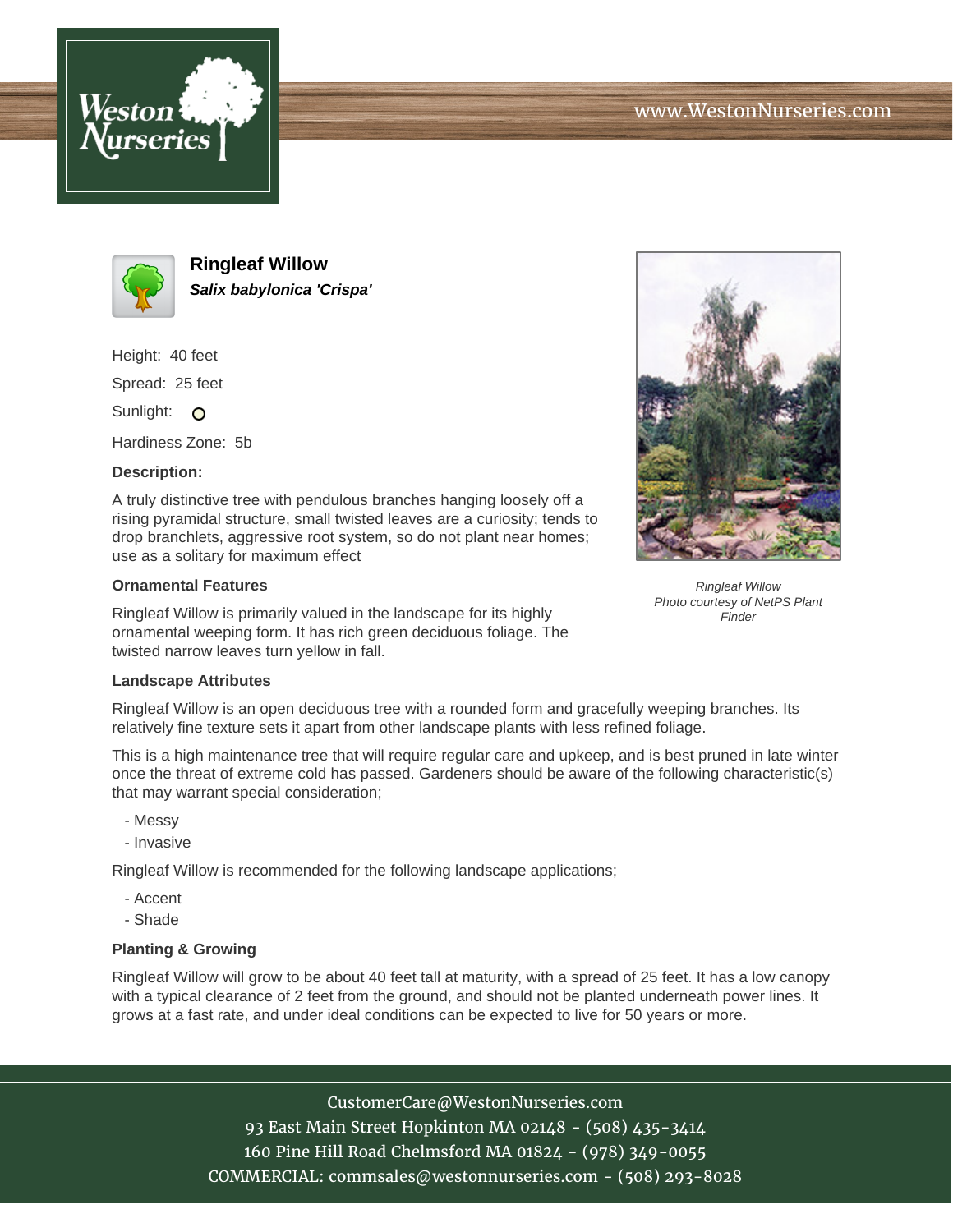





**Ringleaf Willow Salix babylonica 'Crispa'**

Height: 40 feet

Spread: 25 feet

Sunlight: O

Hardiness Zone: 5b

## **Description:**

A truly distinctive tree with pendulous branches hanging loosely off a rising pyramidal structure, small twisted leaves are a curiosity; tends to drop branchlets, aggressive root system, so do not plant near homes; use as a solitary for maximum effect

## **Ornamental Features**

Ringleaf Willow is primarily valued in the landscape for its highly ornamental weeping form. It has rich green deciduous foliage. The twisted narrow leaves turn yellow in fall.

## **Landscape Attributes**

Ringleaf Willow is an open deciduous tree with a rounded form and gracefully weeping branches. Its relatively fine texture sets it apart from other landscape plants with less refined foliage.

This is a high maintenance tree that will require regular care and upkeep, and is best pruned in late winter once the threat of extreme cold has passed. Gardeners should be aware of the following characteristic(s) that may warrant special consideration;

- Messy
- Invasive

Ringleaf Willow is recommended for the following landscape applications;

- Accent
- Shade

## **Planting & Growing**

Ringleaf Willow will grow to be about 40 feet tall at maturity, with a spread of 25 feet. It has a low canopy with a typical clearance of 2 feet from the ground, and should not be planted underneath power lines. It grows at a fast rate, and under ideal conditions can be expected to live for 50 years or more.

> CustomerCare@WestonNurseries.com 93 East Main Street Hopkinton MA 02148 - (508) 435-3414 160 Pine Hill Road Chelmsford MA 01824 - (978) 349-0055 COMMERCIAL: commsales@westonnurseries.com - (508) 293-8028



Ringleaf Willow Photo courtesy of NetPS Plant Finder